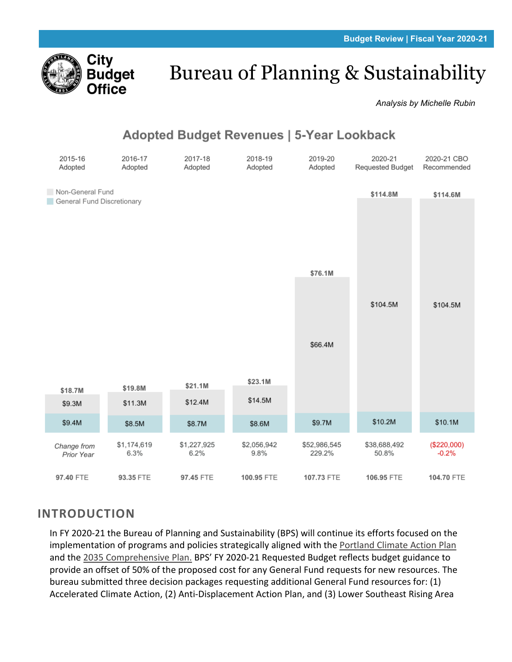

# Bureau of Planning & Sustainability

*Analysis by Michelle Rubin*

# **Adopted Budget Revenues | 5-Year Lookback**



# **INTRODUCTION**

In FY 2020-21 the Bureau of Planning and Sustainability (BPS) will continue its efforts focused on the implementation of programs and policies strategically aligned with the [Portland Climate Action Plan](https://beta.portland.gov/bps/climate-action/history-and-key-documents-climate-planning-and-action-portland) and the [2035 Comprehensive Plan.](https://beta.portland.gov/bps/comp-plan) BPS' FY 2020-21 Requested Budget reflects budget guidance to provide an offset of 50% of the proposed cost for any General Fund requests for new resources. The bureau submitted three decision packages requesting additional General Fund resources for: (1) Accelerated Climate Action, (2) Anti-Displacement Action Plan, and (3) Lower Southeast Rising Area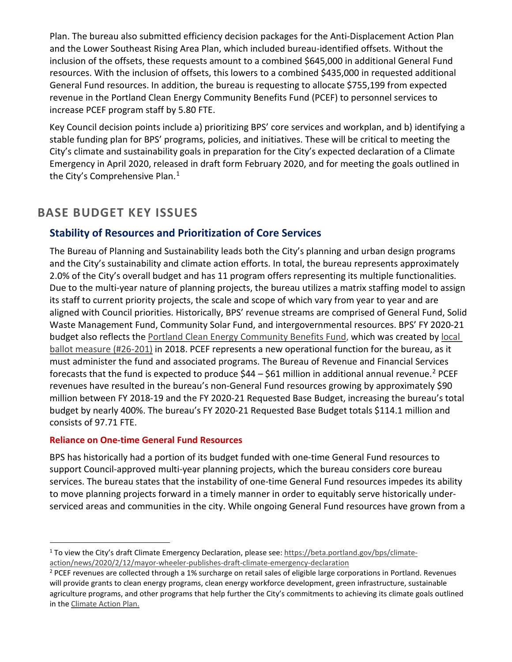Plan. The bureau also submitted efficiency decision packages for the Anti-Displacement Action Plan and the Lower Southeast Rising Area Plan, which included bureau-identified offsets. Without the inclusion of the offsets, these requests amount to a combined \$645,000 in additional General Fund resources. With the inclusion of offsets, this lowers to a combined \$435,000 in requested additional General Fund resources. In addition, the bureau is requesting to allocate \$755,199 from expected revenue in the Portland Clean Energy Community Benefits Fund (PCEF) to personnel services to increase PCEF program staff by 5.80 FTE.

Key Council decision points include a) prioritizing BPS' core services and workplan, and b) identifying a stable funding plan for BPS' programs, policies, and initiatives. These will be critical to meeting the City's climate and sustainability goals in preparation for the City's expected declaration of a Climate Emergency in April 2020, released in draft form February 2020, and for meeting the goals outlined in the City's Comprehensive Plan. [1](#page-1-0)

# **BASE BUDGET KEY ISSUES**

# **Stability of Resources and Prioritization of Core Services**

The Bureau of Planning and Sustainability leads both the City's planning and urban design programs and the City's sustainability and climate action efforts. In total, the bureau represents approximately 2.0% of the City's overall budget and has 11 program offers representing its multiple functionalities. Due to the multi-year nature of planning projects, the bureau utilizes a matrix staffing model to assign its staff to current priority projects, the scale and scope of which vary from year to year and are aligned with Council priorities. Historically, BPS' revenue streams are comprised of General Fund, Solid Waste Management Fund, Community Solar Fund, and intergovernmental resources. BPS' FY 2020-21 budget also reflects the [Portland Clean Energy](https://www.portlandoregon.gov/citycode/78811) Community Benefits Fund, which was created b[y local](https://multco.us/file/74764/download)  [ballot measure \(#26-201\)](https://multco.us/file/74764/download) in 2018. PCEF represents a new operational function for the bureau, as it must administer the fund and associated programs. The Bureau of Revenue and Financial Services forecasts that the fund is expected to produce  $$44 - $61$  million in additional annual revenue.<sup>[2](#page-1-1)</sup> PCEF revenues have resulted in the bureau's non-General Fund resources growing by approximately \$90 million between FY 2018-19 and the FY 2020-21 Requested Base Budget, increasing the bureau's total budget by nearly 400%. The bureau's FY 2020-21 Requested Base Budget totals \$114.1 million and consists of 97.71 FTE.

## **Reliance on One-time General Fund Resources**

BPS has historically had a portion of its budget funded with one-time General Fund resources to support Council-approved multi-year planning projects, which the bureau considers core bureau services. The bureau states that the instability of one-time General Fund resources impedes its ability to move planning projects forward in a timely manner in order to equitably serve historically underserviced areas and communities in the city. While ongoing General Fund resources have grown from a

<span id="page-1-0"></span><sup>1</sup> To view the City's draft Climate Emergency Declaration, please see: [https://beta.portland.gov/bps/climate](https://beta.portland.gov/bps/climate-action/news/2020/2/12/mayor-wheeler-publishes-draft-climate-emergency-declaration)[action/news/2020/2/12/mayor-wheeler-publishes-draft-climate-emergency-declaration](https://beta.portland.gov/bps/climate-action/news/2020/2/12/mayor-wheeler-publishes-draft-climate-emergency-declaration)

<span id="page-1-1"></span><sup>&</sup>lt;sup>2</sup> PCEF revenues are collected through a 1% surcharge on retail sales of eligible large corporations in Portland. Revenues will provide grants to clean energy programs, clean energy workforce development, green infrastructure, sustainable agriculture programs, and other programs that help further the City's commitments to achieving its climate goals outlined in the [Climate Action Plan.](https://beta.portland.gov/bps/climate-action/history-and-key-documents-climate-planning-and-action-portland)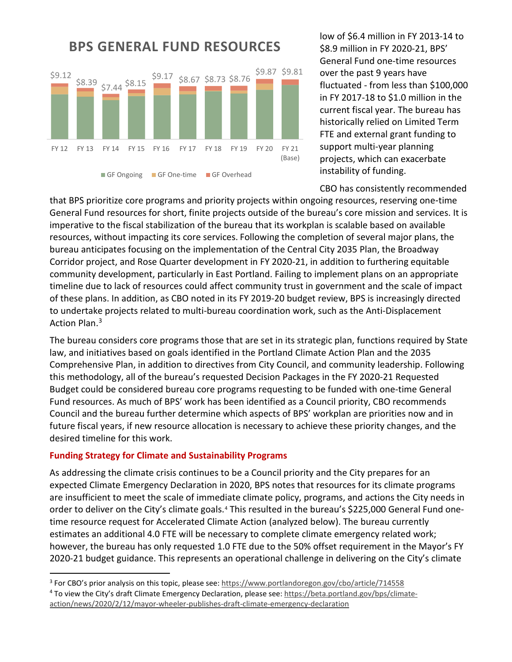

low of \$6.4 million in FY 2013-14 to \$8.9 million in FY 2020-21, BPS' General Fund one-time resources over the past 9 years have fluctuated - from less than \$100,000 in FY 2017-18 to \$1.0 million in the current fiscal year. The bureau has historically relied on Limited Term FTE and external grant funding to support multi-year planning projects, which can exacerbate instability of funding.

CBO has consistently recommended

that BPS prioritize core programs and priority projects within ongoing resources, reserving one‐time General Fund resources for short, finite projects outside of the bureau's core mission and services. It is imperative to the fiscal stabilization of the bureau that its workplan is scalable based on available resources, without impacting its core services. Following the completion of several major plans, the bureau anticipates focusing on the implementation of the Central City 2035 Plan, the Broadway Corridor project, and Rose Quarter development in FY 2020-21, in addition to furthering equitable community development, particularly in East Portland. Failing to implement plans on an appropriate timeline due to lack of resources could affect community trust in government and the scale of impact of these plans. In addition, as CBO noted in its FY 2019-20 budget review, BPS is increasingly directed to undertake projects related to multi-bureau coordination work, such as the Anti-Displacement Action Plan.<sup>[3](#page-2-0)</sup>

The bureau considers core programs those that are set in its strategic plan, functions required by State law, and initiatives based on goals identified in the Portland Climate Action Plan and the 2035 Comprehensive Plan, in addition to directives from City Council, and community leadership. Following this methodology, all of the bureau's requested Decision Packages in the FY 2020-21 Requested Budget could be considered bureau core programs requesting to be funded with one-time General Fund resources. As much of BPS' work has been identified as a Council priority, CBO recommends Council and the bureau further determine which aspects of BPS' workplan are priorities now and in future fiscal years, if new resource allocation is necessary to achieve these priority changes, and the desired timeline for this work.

## **Funding Strategy for Climate and Sustainability Programs**

As addressing the climate crisis continues to be a Council priority and the City prepares for an expected Climate Emergency Declaration in 2020, BPS notes that resources for its climate programs are insufficient to meet the scale of immediate climate policy, programs, and actions the City needs in order to deliver on the City's climate goals.<sup>[4](#page-2-1)</sup> This resulted in the bureau's \$225,000 General Fund onetime resource request for Accelerated Climate Action (analyzed below). The bureau currently estimates an additional 4.0 FTE will be necessary to complete climate emergency related work; however, the bureau has only requested 1.0 FTE due to the 50% offset requirement in the Mayor's FY 2020-21 budget guidance. This represents an operational challenge in delivering on the City's climate

<span id="page-2-0"></span><sup>&</sup>lt;sup>3</sup> For CBO's prior analysis on this topic, please see:<https://www.portlandoregon.gov/cbo/article/714558>

<span id="page-2-1"></span><sup>&</sup>lt;sup>4</sup> To view the City's draft Climate Emergency Declaration, please see: [https://beta.portland.gov/bps/climate](https://beta.portland.gov/bps/climate-action/news/2020/2/12/mayor-wheeler-publishes-draft-climate-emergency-declaration)[action/news/2020/2/12/mayor-wheeler-publishes-draft-climate-emergency-declaration](https://beta.portland.gov/bps/climate-action/news/2020/2/12/mayor-wheeler-publishes-draft-climate-emergency-declaration)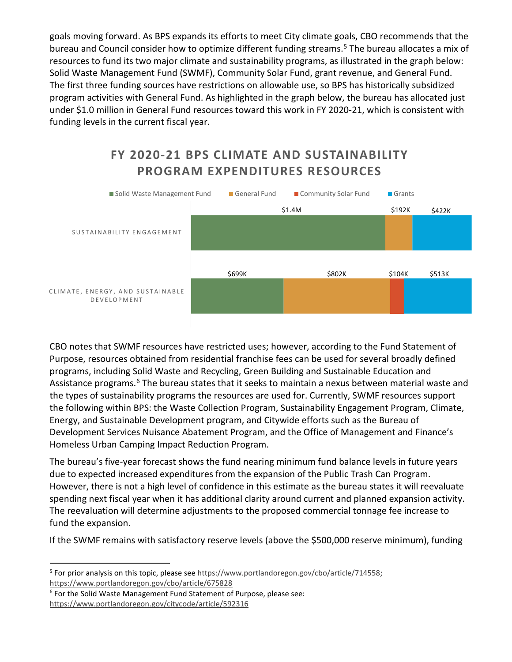goals moving forward. As BPS expands its efforts to meet City climate goals, CBO recommends that the bureau and Council consider how to optimize different funding streams.<sup>[5](#page-3-0)</sup> The bureau allocates a mix of resources to fund its two major climate and sustainability programs, as illustrated in the graph below: Solid Waste Management Fund (SWMF), Community Solar Fund, grant revenue, and General Fund. The first three funding sources have restrictions on allowable use, so BPS has historically subsidized program activities with General Fund. As highlighted in the graph below, the bureau has allocated just under \$1.0 million in General Fund resources toward this work in FY 2020-21, which is consistent with funding levels in the current fiscal year.

# **FY 2020-21 BPS CLIMATE AND SUSTAINABILITY PROGRAM EXPENDITURES RESOURCES**



CBO notes that SWMF resources have restricted uses; however, according to the Fund Statement of Purpose, resources obtained from residential franchise fees can be used for several broadly defined programs, including Solid Waste and Recycling, Green Building and Sustainable Education and Assistance programs.<sup>[6](#page-3-1)</sup> The bureau states that it seeks to maintain a nexus between material waste and the types of sustainability programs the resources are used for. Currently, SWMF resources support the following within BPS: the Waste Collection Program, Sustainability Engagement Program, Climate, Energy, and Sustainable Development program, and Citywide efforts such as the Bureau of Development Services Nuisance Abatement Program, and the Office of Management and Finance's Homeless Urban Camping Impact Reduction Program.

The bureau's five-year forecast shows the fund nearing minimum fund balance levels in future years due to expected increased expenditures from the expansion of the Public Trash Can Program. However, there is not a high level of confidence in this estimate as the bureau states it will reevaluate spending next fiscal year when it has additional clarity around current and planned expansion activity. The reevaluation will determine adjustments to the proposed commercial tonnage fee increase to fund the expansion.

If the SWMF remains with satisfactory reserve levels (above the \$500,000 reserve minimum), funding

<span id="page-3-0"></span><sup>5</sup> For prior analysis on this topic, please see [https://www.portlandoregon.gov/cbo/article/714558;](https://www.portlandoregon.gov/cbo/article/714558) <https://www.portlandoregon.gov/cbo/article/675828>

<span id="page-3-1"></span><sup>&</sup>lt;sup>6</sup> For the Solid Waste Management Fund Statement of Purpose, please see: <https://www.portlandoregon.gov/citycode/article/592316>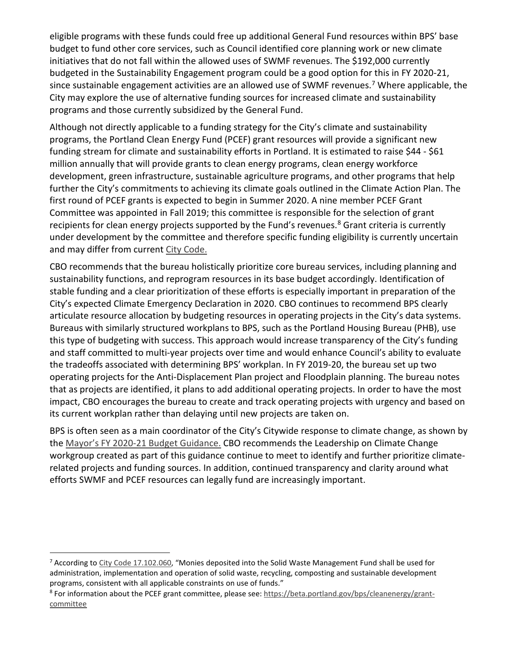eligible programs with these funds could free up additional General Fund resources within BPS' base budget to fund other core services, such as Council identified core planning work or new climate initiatives that do not fall within the allowed uses of SWMF revenues. The \$192,000 currently budgeted in the Sustainability Engagement program could be a good option for this in FY 2020-21, since sustainable engagement activities are an allowed use of SWMF revenues.<sup>[7](#page-4-0)</sup> Where applicable, the City may explore the use of alternative funding sources for increased climate and sustainability programs and those currently subsidized by the General Fund.

Although not directly applicable to a funding strategy for the City's climate and sustainability programs, the Portland Clean Energy Fund (PCEF) grant resources will provide a significant new funding stream for climate and sustainability efforts in Portland. It is estimated to raise \$44 - \$61 million annually that will provide grants to clean energy programs, clean energy workforce development, green infrastructure, sustainable agriculture programs, and other programs that help further the City's commitments to achieving its climate goals outlined in the Climate Action Plan. The first round of PCEF grants is expected to begin in Summer 2020. A nine member PCEF Grant Committee was appointed in Fall 2019; this committee is responsible for the selection of grant recipients for clean energy projects supported by the Fund's revenues.<sup>[8](#page-4-1)</sup> Grant criteria is currently under development by the committee and therefore specific funding eligibility is currently uncertain and may differ from current [City Code.](https://www.portlandoregon.gov/citycode/78811)

CBO recommends that the bureau holistically prioritize core bureau services, including planning and sustainability functions, and reprogram resources in its base budget accordingly. Identification of stable funding and a clear prioritization of these efforts is especially important in preparation of the City's expected Climate Emergency Declaration in 2020. CBO continues to recommend BPS clearly articulate resource allocation by budgeting resources in operating projects in the City's data systems. Bureaus with similarly structured workplans to BPS, such as the Portland Housing Bureau (PHB), use this type of budgeting with success. This approach would increase transparency of the City's funding and staff committed to multi-year projects over time and would enhance Council's ability to evaluate the tradeoffs associated with determining BPS' workplan. In FY 2019-20, the bureau set up two operating projects for the Anti-Displacement Plan project and Floodplain planning. The bureau notes that as projects are identified, it plans to add additional operating projects. In order to have the most impact, CBO encourages the bureau to create and track operating projects with urgency and based on its current workplan rather than delaying until new projects are taken on.

BPS is often seen as a main coordinator of the City's Citywide response to climate change, as shown by the Mayor's FY 2020-21 [Budget Guidance.](https://www.portlandoregon.gov/cbo/article/743645) CBO recommends the Leadership on Climate Change workgroup created as part of this guidance continue to meet to identify and further prioritize climaterelated projects and funding sources. In addition, continued transparency and clarity around what efforts SWMF and PCEF resources can legally fund are increasingly important.

<span id="page-4-0"></span><sup>&</sup>lt;sup>7</sup> According t[o City Code 17.102.060,](https://www.portlandoregon.gov/citycode/article/247712) "Monies deposited into the Solid Waste Management Fund shall be used for administration, implementation and operation of solid waste, recycling, composting and sustainable development programs, consistent with all applicable constraints on use of funds."

<span id="page-4-1"></span><sup>&</sup>lt;sup>8</sup> For information about the PCEF grant committee, please see[: https://beta.portland.gov/bps/cleanenergy/grant](https://beta.portland.gov/bps/cleanenergy/grant-committee)[committee](https://beta.portland.gov/bps/cleanenergy/grant-committee)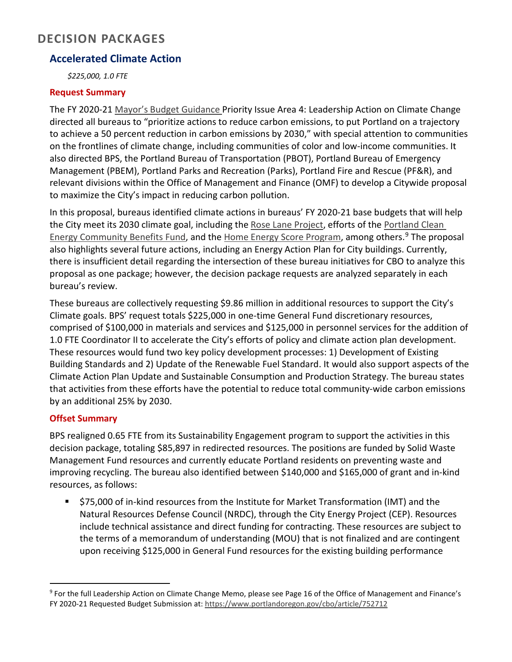# **DECISION PACKAGES**

# **Accelerated Climate Action**

*\$225,000, 1.0 FTE* 

## **Request Summary**

The FY 2020-21 [Mayor's Budget Guidance](https://www.portlandoregon.gov/cbo/article/743645) Priority Issue Area 4: Leadership Action on Climate Change directed all bureaus to "prioritize actions to reduce carbon emissions, to put Portland on a trajectory to achieve a 50 percent reduction in carbon emissions by 2030," with special attention to communities on the frontlines of climate change, including communities of color and low-income communities. It also directed BPS, the Portland Bureau of Transportation (PBOT), Portland Bureau of Emergency Management (PBEM), Portland Parks and Recreation (Parks), Portland Fire and Rescue (PF&R), and relevant divisions within the Office of Management and Finance (OMF) to develop a Citywide proposal to maximize the City's impact in reducing carbon pollution.

In this proposal, bureaus identified climate actions in bureaus' FY 2020-21 base budgets that will help the City meet its 2030 climate goal, including the [Rose Lane Project,](https://www.portlandoregon.gov/transportation/80076#:%7E:text=) efforts of the Portland Clean [Energy Community Benefits Fund,](https://beta.portland.gov/bps/cleanenergy/about-portland-clean-energy-community-benefits-fund) and the [Home Energy Score Program,](https://beta.portland.gov/pdxhes) among others.<sup>[9](#page-5-0)</sup> The proposal also highlights several future actions, including an Energy Action Plan for City buildings. Currently, there is insufficient detail regarding the intersection of these bureau initiatives for CBO to analyze this proposal as one package; however, the decision package requests are analyzed separately in each bureau's review.

These bureaus are collectively requesting \$9.86 million in additional resources to support the City's Climate goals. BPS' request totals \$225,000 in one-time General Fund discretionary resources, comprised of \$100,000 in materials and services and \$125,000 in personnel services for the addition of 1.0 FTE Coordinator II to accelerate the City's efforts of policy and climate action plan development. These resources would fund two key policy development processes: 1) Development of Existing Building Standards and 2) Update of the Renewable Fuel Standard. It would also support aspects of the Climate Action Plan Update and Sustainable Consumption and Production Strategy. The bureau states that activities from these efforts have the potential to reduce total community-wide carbon emissions by an additional 25% by 2030.

# **Offset Summary**

BPS realigned 0.65 FTE from its Sustainability Engagement program to support the activities in this decision package, totaling \$85,897 in redirected resources. The positions are funded by Solid Waste Management Fund resources and currently educate Portland residents on preventing waste and improving recycling. The bureau also identified between \$140,000 and \$165,000 of grant and in-kind resources, as follows:

 \$75,000 of in-kind resources from the Institute for Market Transformation (IMT) and the Natural Resources Defense Council (NRDC), through the City Energy Project (CEP). Resources include technical assistance and direct funding for contracting. These resources are subject to the terms of a memorandum of understanding (MOU) that is not finalized and are contingent upon receiving \$125,000 in General Fund resources for the existing building performance

<span id="page-5-0"></span><sup>&</sup>lt;sup>9</sup> For the full Leadership Action on Climate Change Memo, please see Page 16 of the Office of Management and Finance's FY 2020-21 Requested Budget Submission at:<https://www.portlandoregon.gov/cbo/article/752712>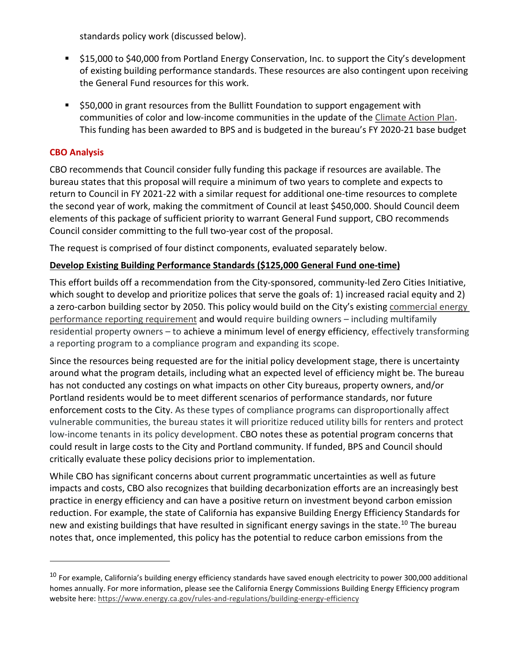standards policy work (discussed below).

- \$15,000 to \$40,000 from Portland Energy Conservation, Inc. to support the City's development of existing building performance standards. These resources are also contingent upon receiving the General Fund resources for this work.
- **550,000** in grant resources from the Bullitt Foundation to support engagement with communities of color and low-income communities in the update of th[e Climate Action Plan.](https://beta.portland.gov/bps/climate-action/history-and-key-documents-climate-planning-and-action-portland) This funding has been awarded to BPS and is budgeted in the bureau's FY 2020-21 base budget

# **CBO Analysis**

CBO recommends that Council consider fully funding this package if resources are available. The bureau states that this proposal will require a minimum of two years to complete and expects to return to Council in FY 2021-22 with a similar request for additional one-time resources to complete the second year of work, making the commitment of Council at least \$450,000. Should Council deem elements of this package of sufficient priority to warrant General Fund support, CBO recommends Council consider committing to the full two-year cost of the proposal.

The request is comprised of four distinct components, evaluated separately below.

# **Develop Existing Building Performance Standards (\$125,000 General Fund one-time)**

This effort builds off a recommendation from the City-sponsored, community-led Zero Cities Initiative, which sought to develop and prioritize polices that serve the goals of: 1) increased racial equity and 2) a zero-carbon building sector by 2050. This policy would build on the City's existing commercial energy [performance reporting requirement](https://beta.portland.gov/energy-reporting) and would require building owners – including multifamily residential property owners – to achieve a minimum level of energy efficiency, effectively transforming a reporting program to a compliance program and expanding its scope.

Since the resources being requested are for the initial policy development stage, there is uncertainty around what the program details, including what an expected level of efficiency might be. The bureau has not conducted any costings on what impacts on other City bureaus, property owners, and/or Portland residents would be to meet different scenarios of performance standards, nor future enforcement costs to the City. As these types of compliance programs can disproportionally affect vulnerable communities, the bureau states it will prioritize reduced utility bills for renters and protect low-income tenants in its policy development. CBO notes these as potential program concerns that could result in large costs to the City and Portland community. If funded, BPS and Council should critically evaluate these policy decisions prior to implementation.

While CBO has significant concerns about current programmatic uncertainties as well as future impacts and costs, CBO also recognizes that building decarbonization efforts are an increasingly best practice in energy efficiency and can have a positive return on investment beyond carbon emission reduction. For example, the state of California has expansive Building Energy Efficiency Standards for new and existing buildings that have resulted in significant energy savings in the state.<sup>[10](#page-6-0)</sup> The bureau notes that, once implemented, this policy has the potential to reduce carbon emissions from the

<span id="page-6-0"></span><sup>&</sup>lt;sup>10</sup> For example, California's building energy efficiency standards have saved enough electricity to power 300,000 additional homes annually. For more information, please see the California Energy Commissions Building Energy Efficiency program website here: <https://www.energy.ca.gov/rules-and-regulations/building-energy-efficiency>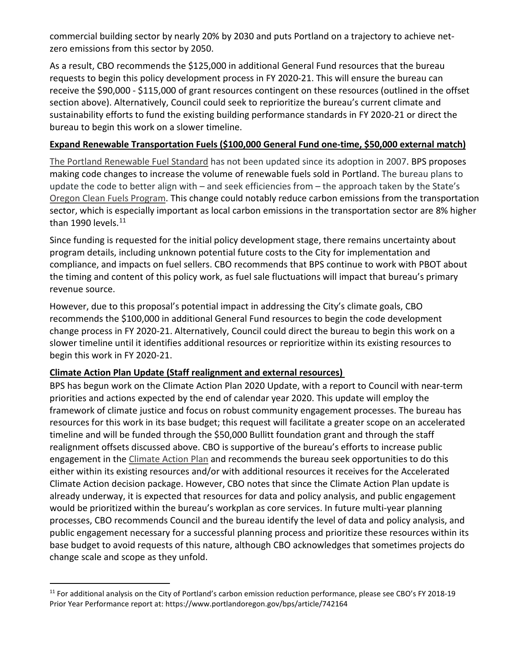commercial building sector by nearly 20% by 2030 and puts Portland on a trajectory to achieve netzero emissions from this sector by 2050.

As a result, CBO recommends the \$125,000 in additional General Fund resources that the bureau requests to begin this policy development process in FY 2020-21. This will ensure the bureau can receive the \$90,000 - \$115,000 of grant resources contingent on these resources (outlined in the offset section above). Alternatively, Council could seek to reprioritize the bureau's current climate and sustainability efforts to fund the existing building performance standards in FY 2020-21 or direct the bureau to begin this work on a slower timeline.

# **Expand Renewable Transportation Fuels (\$100,000 General Fund one-time, \$50,000 external match)**

[The Portland Renewable Fuel Standard](https://www.portlandoregon.gov/bds/44630) has not been updated since its adoption in 2007. BPS proposes making code changes to increase the volume of renewable fuels sold in Portland. The bureau plans to update the code to better align with – and seek efficiencies from – the approach taken by the State's [Oregon Clean Fuels Program.](https://www.oregon.gov/deq/aq/programs/Pages/Clean-Fuels.aspx) This change could notably reduce carbon emissions from the transportation sector, which is especially important as local carbon emissions in the transportation sector are 8% higher than 1990 levels.<sup>[11](#page-7-0)</sup>

Since funding is requested for the initial policy development stage, there remains uncertainty about program details, including unknown potential future costs to the City for implementation and compliance, and impacts on fuel sellers. CBO recommends that BPS continue to work with PBOT about the timing and content of this policy work, as fuel sale fluctuations will impact that bureau's primary revenue source.

However, due to this proposal's potential impact in addressing the City's climate goals, CBO recommends the \$100,000 in additional General Fund resources to begin the code development change process in FY 2020-21. Alternatively, Council could direct the bureau to begin this work on a slower timeline until it identifies additional resources or reprioritize within its existing resources to begin this work in FY 2020-21.

## **Climate Action Plan Update (Staff realignment and external resources)**

BPS has begun work on the Climate Action Plan 2020 Update, with a report to Council with near-term priorities and actions expected by the end of calendar year 2020. This update will employ the framework of climate justice and focus on robust community engagement processes. The bureau has resources for this work in its base budget; this request will facilitate a greater scope on an accelerated timeline and will be funded through the \$50,000 Bullitt foundation grant and through the staff realignment offsets discussed above. CBO is supportive of the bureau's efforts to increase public engagement in the [Climate Action Plan](https://beta.portland.gov/bps/climate-action/history-and-key-documents-climate-planning-and-action-portland) and recommends the bureau seek opportunities to do this either within its existing resources and/or with additional resources it receives for the Accelerated Climate Action decision package. However, CBO notes that since the Climate Action Plan update is already underway, it is expected that resources for data and policy analysis, and public engagement would be prioritized within the bureau's workplan as core services. In future multi-year planning processes, CBO recommends Council and the bureau identify the level of data and policy analysis, and public engagement necessary for a successful planning process and prioritize these resources within its base budget to avoid requests of this nature, although CBO acknowledges that sometimes projects do change scale and scope as they unfold.

<span id="page-7-0"></span> $11$  For additional analysis on the City of Portland's carbon emission reduction performance, please see CBO's FY 2018-19 Prior Year Performance report at: https://www.portlandoregon.gov/bps/article/742164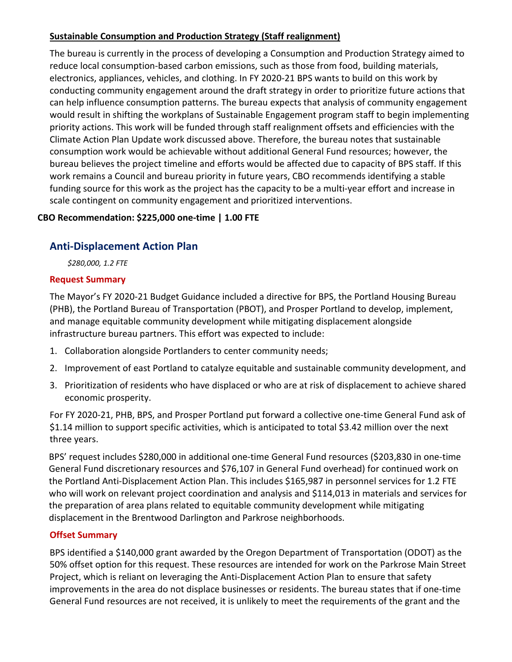# **Sustainable Consumption and Production Strategy (Staff realignment)**

The bureau is currently in the process of developing a Consumption and Production Strategy aimed to reduce local consumption-based carbon emissions, such as those from food, building materials, electronics, appliances, vehicles, and clothing. In FY 2020-21 BPS wants to build on this work by conducting community engagement around the draft strategy in order to prioritize future actions that can help influence consumption patterns. The bureau expects that analysis of community engagement would result in shifting the workplans of Sustainable Engagement program staff to begin implementing priority actions. This work will be funded through staff realignment offsets and efficiencies with the Climate Action Plan Update work discussed above. Therefore, the bureau notes that sustainable consumption work would be achievable without additional General Fund resources; however, the bureau believes the project timeline and efforts would be affected due to capacity of BPS staff. If this work remains a Council and bureau priority in future years, CBO recommends identifying a stable funding source for this work as the project has the capacity to be a multi-year effort and increase in scale contingent on community engagement and prioritized interventions.

# **CBO Recommendation: \$225,000 one-time | 1.00 FTE**

# **Anti-Displacement Action Plan**

*\$280,000, 1.2 FTE* 

## **Request Summary**

The Mayor's FY 2020-21 Budget Guidance included a directive for BPS, the Portland Housing Bureau (PHB), the Portland Bureau of Transportation (PBOT), and Prosper Portland to develop, implement, and manage equitable community development while mitigating displacement alongside infrastructure bureau partners. This effort was expected to include:

- 1. Collaboration alongside Portlanders to center community needs;
- 2. Improvement of east Portland to catalyze equitable and sustainable community development, and
- 3. Prioritization of residents who have displaced or who are at risk of displacement to achieve shared economic prosperity.

For FY 2020-21, PHB, BPS, and Prosper Portland put forward a collective one-time General Fund ask of \$1.14 million to support specific activities, which is anticipated to total \$3.42 million over the next three years.

BPS' request includes \$280,000 in additional one-time General Fund resources (\$203,830 in one-time General Fund discretionary resources and \$76,107 in General Fund overhead) for continued work on the Portland Anti-Displacement Action Plan. This includes \$165,987 in personnel services for 1.2 FTE who will work on relevant project coordination and analysis and \$114,013 in materials and services for the preparation of area plans related to equitable community development while mitigating displacement in the Brentwood Darlington and Parkrose neighborhoods.

## **Offset Summary**

BPS identified a \$140,000 grant awarded by the Oregon Department of Transportation (ODOT) as the 50% offset option for this request. These resources are intended for work on the Parkrose Main Street Project, which is reliant on leveraging the Anti-Displacement Action Plan to ensure that safety improvements in the area do not displace businesses or residents. The bureau states that if one-time General Fund resources are not received, it is unlikely to meet the requirements of the grant and the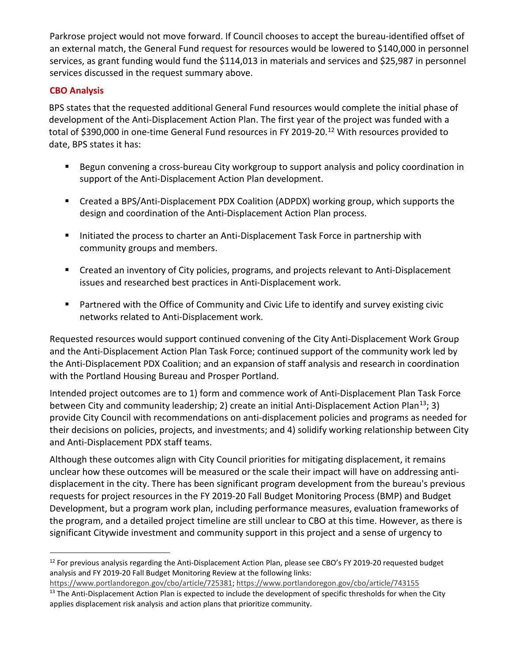Parkrose project would not move forward. If Council chooses to accept the bureau-identified offset of an external match, the General Fund request for resources would be lowered to \$140,000 in personnel services, as grant funding would fund the \$114,013 in materials and services and \$25,987 in personnel services discussed in the request summary above.

# **CBO Analysis**

BPS states that the requested additional General Fund resources would complete the initial phase of development of the Anti-Displacement Action Plan. The first year of the project was funded with a total of \$390,000 in one-time General Fund resources in FY 2019-20.<sup>[12](#page-9-0)</sup> With resources provided to date, BPS states it has:

- Begun convening a cross-bureau City workgroup to support analysis and policy coordination in support of the Anti-Displacement Action Plan development.
- Created a BPS/Anti-Displacement PDX Coalition (ADPDX) working group, which supports the design and coordination of the Anti-Displacement Action Plan process.
- Initiated the process to charter an Anti-Displacement Task Force in partnership with community groups and members.
- **EXP** Created an inventory of City policies, programs, and projects relevant to Anti-Displacement issues and researched best practices in Anti-Displacement work.
- Partnered with the Office of Community and Civic Life to identify and survey existing civic networks related to Anti-Displacement work.

Requested resources would support continued convening of the City Anti-Displacement Work Group and the Anti-Displacement Action Plan Task Force; continued support of the community work led by the Anti-Displacement PDX Coalition; and an expansion of staff analysis and research in coordination with the Portland Housing Bureau and Prosper Portland.

Intended project outcomes are to 1) form and commence work of Anti-Displacement Plan Task Force between City and community leadership; 2) create an initial Anti-Displacement Action Plan<sup>[13](#page-9-1)</sup>; 3) provide City Council with recommendations on anti-displacement policies and programs as needed for their decisions on policies, projects, and investments; and 4) solidify working relationship between City and Anti-Displacement PDX staff teams.

Although these outcomes align with City Council priorities for mitigating displacement, it remains unclear how these outcomes will be measured or the scale their impact will have on addressing antidisplacement in the city. There has been significant program development from the bureau's previous requests for project resources in the FY 2019-20 Fall Budget Monitoring Process (BMP) and Budget Development, but a program work plan, including performance measures, evaluation frameworks of the program, and a detailed project timeline are still unclear to CBO at this time. However, as there is significant Citywide investment and community support in this project and a sense of urgency to

<span id="page-9-1"></span>[https://www.portlandoregon.gov/cbo/article/725381;](https://www.portlandoregon.gov/cbo/article/725381)<https://www.portlandoregon.gov/cbo/article/743155>  $13$  The Anti-Displacement Action Plan is expected to include the development of specific thresholds for when the City applies displacement risk analysis and action plans that prioritize community.

<span id="page-9-0"></span> $12$  For previous analysis regarding the Anti-Displacement Action Plan, please see CBO's FY 2019-20 requested budget analysis and FY 2019-20 Fall Budget Monitoring Review at the following links: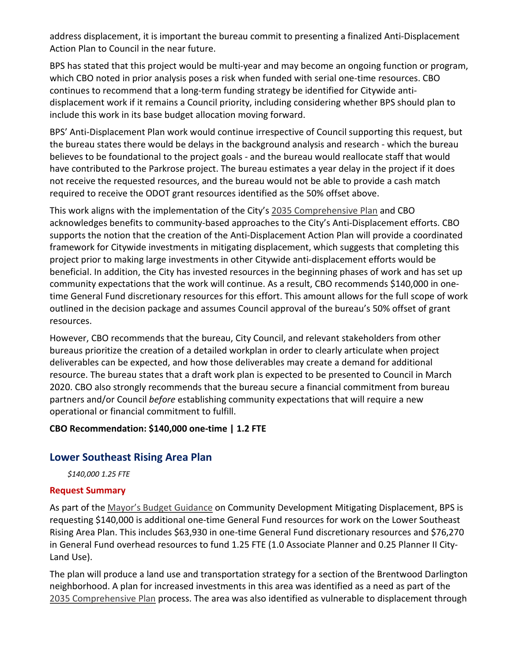address displacement, it is important the bureau commit to presenting a finalized Anti-Displacement Action Plan to Council in the near future.

BPS has stated that this project would be multi-year and may become an ongoing function or program, which CBO noted in prior analysis poses a risk when funded with serial one-time resources. CBO continues to recommend that a long-term funding strategy be identified for Citywide antidisplacement work if it remains a Council priority, including considering whether BPS should plan to include this work in its base budget allocation moving forward.

BPS' Anti-Displacement Plan work would continue irrespective of Council supporting this request, but the bureau states there would be delays in the background analysis and research - which the bureau believes to be foundational to the project goals - and the bureau would reallocate staff that would have contributed to the Parkrose project. The bureau estimates a year delay in the project if it does not receive the requested resources, and the bureau would not be able to provide a cash match required to receive the ODOT grant resources identified as the 50% offset above.

This work aligns with the implementation of the City's [2035 Comprehensive Plan](https://beta.portland.gov/bps/comp-plan/2035-comprehensive-plan-and-supporting-documents) and CBO acknowledges benefits to community-based approaches to the City's Anti-Displacement efforts. CBO supports the notion that the creation of the Anti-Displacement Action Plan will provide a coordinated framework for Citywide investments in mitigating displacement, which suggests that completing this project prior to making large investments in other Citywide anti-displacement efforts would be beneficial. In addition, the City has invested resources in the beginning phases of work and has set up community expectations that the work will continue. As a result, CBO recommends \$140,000 in onetime General Fund discretionary resources for this effort. This amount allows for the full scope of work outlined in the decision package and assumes Council approval of the bureau's 50% offset of grant resources.

However, CBO recommends that the bureau, City Council, and relevant stakeholders from other bureaus prioritize the creation of a detailed workplan in order to clearly articulate when project deliverables can be expected, and how those deliverables may create a demand for additional resource. The bureau states that a draft work plan is expected to be presented to Council in March 2020. CBO also strongly recommends that the bureau secure a financial commitment from bureau partners and/or Council *before* establishing community expectations that will require a new operational or financial commitment to fulfill.

## **CBO Recommendation: \$140,000 one-time | 1.2 FTE**

# **Lower Southeast Rising Area Plan**

*\$140,000 1.25 FTE* 

## **Request Summary**

As part of the [Mayor's Budget Guidance](https://www.portlandoregon.gov/cbo/article/743645) on Community Development Mitigating Displacement, BPS is requesting \$140,000 is additional one-time General Fund resources for work on the Lower Southeast Rising Area Plan. This includes \$63,930 in one-time General Fund discretionary resources and \$76,270 in General Fund overhead resources to fund 1.25 FTE (1.0 Associate Planner and 0.25 Planner II City-Land Use).

The plan will produce a land use and transportation strategy for a section of the Brentwood Darlington neighborhood. A plan for increased investments in this area was identified as a need as part of the [2035 Comprehensive Plan](https://beta.portland.gov/bps/comp-plan/2035-comprehensive-plan-and-supporting-documents) process. The area was also identified as vulnerable to displacement through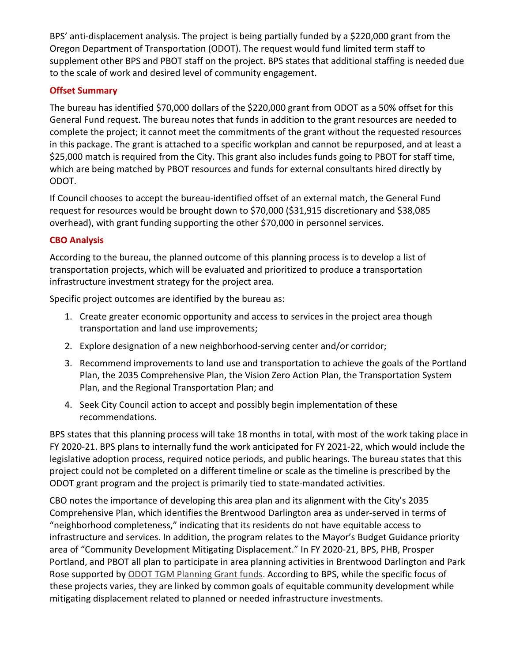BPS' anti-displacement analysis. The project is being partially funded by a \$220,000 grant from the Oregon Department of Transportation (ODOT). The request would fund limited term staff to supplement other BPS and PBOT staff on the project. BPS states that additional staffing is needed due to the scale of work and desired level of community engagement.

## **Offset Summary**

The bureau has identified \$70,000 dollars of the \$220,000 grant from ODOT as a 50% offset for this General Fund request. The bureau notes that funds in addition to the grant resources are needed to complete the project; it cannot meet the commitments of the grant without the requested resources in this package. The grant is attached to a specific workplan and cannot be repurposed, and at least a \$25,000 match is required from the City. This grant also includes funds going to PBOT for staff time, which are being matched by PBOT resources and funds for external consultants hired directly by ODOT.

If Council chooses to accept the bureau-identified offset of an external match, the General Fund request for resources would be brought down to \$70,000 (\$31,915 discretionary and \$38,085 overhead), with grant funding supporting the other \$70,000 in personnel services.

# **CBO Analysis**

According to the bureau, the planned outcome of this planning process is to develop a list of transportation projects, which will be evaluated and prioritized to produce a transportation infrastructure investment strategy for the project area.

Specific project outcomes are identified by the bureau as:

- 1. Create greater economic opportunity and access to services in the project area though transportation and land use improvements;
- 2. Explore designation of a new neighborhood-serving center and/or corridor;
- 3. Recommend improvements to land use and transportation to achieve the goals of the Portland Plan, the 2035 Comprehensive Plan, the Vision Zero Action Plan, the Transportation System Plan, and the Regional Transportation Plan; and
- 4. Seek City Council action to accept and possibly begin implementation of these recommendations.

BPS states that this planning process will take 18 months in total, with most of the work taking place in FY 2020-21. BPS plans to internally fund the work anticipated for FY 2021-22, which would include the legislative adoption process, required notice periods, and public hearings. The bureau states that this project could not be completed on a different timeline or scale as the timeline is prescribed by the ODOT grant program and the project is primarily tied to state-mandated activities.

CBO notes the importance of developing this area plan and its alignment with the City's 2035 Comprehensive Plan, which identifies the Brentwood Darlington area as under-served in terms of "neighborhood completeness," indicating that its residents do not have equitable access to infrastructure and services. In addition, the program relates to the Mayor's Budget Guidance priority area of "Community Development Mitigating Displacement." In FY 2020-21, BPS, PHB, Prosper Portland, and PBOT all plan to participate in area planning activities in Brentwood Darlington and Park Rose supported by [ODOT TGM Planning Grant funds.](https://www.oregon.gov/lcd/TGM/Pages/Planning-Grants.aspx) According to BPS, while the specific focus of these projects varies, they are linked by common goals of equitable community development while mitigating displacement related to planned or needed infrastructure investments.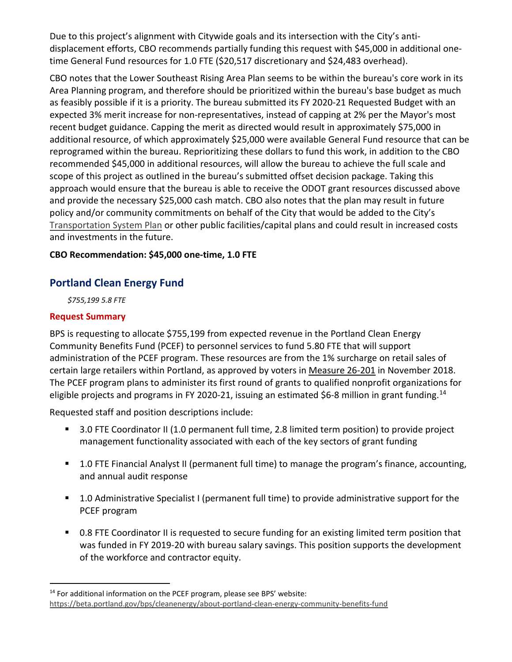Due to this project's alignment with Citywide goals and its intersection with the City's antidisplacement efforts, CBO recommends partially funding this request with \$45,000 in additional onetime General Fund resources for 1.0 FTE (\$20,517 discretionary and \$24,483 overhead).

CBO notes that the Lower Southeast Rising Area Plan seems to be within the bureau's core work in its Area Planning program, and therefore should be prioritized within the bureau's base budget as much as feasibly possible if it is a priority. The bureau submitted its FY 2020-21 Requested Budget with an expected 3% merit increase for non-representatives, instead of capping at 2% per the Mayor's most recent budget guidance. Capping the merit as directed would result in approximately \$75,000 in additional resource, of which approximately \$25,000 were available General Fund resource that can be reprogramed within the bureau. Reprioritizing these dollars to fund this work, in addition to the CBO recommended \$45,000 in additional resources, will allow the bureau to achieve the full scale and scope of this project as outlined in the bureau's submitted offset decision package. Taking this approach would ensure that the bureau is able to receive the ODOT grant resources discussed above and provide the necessary \$25,000 cash match. CBO also notes that the plan may result in future policy and/or community commitments on behalf of the City that would be added to the City's [Transportation](https://www.portlandoregon.gov/transportation/67263) System Plan or other public facilities/capital plans and could result in increased costs and investments in the future.

# **CBO Recommendation: \$45,000 one-time, 1.0 FTE**

# **Portland Clean Energy Fund**

*\$755,199 5.8 FTE* 

# **Request Summary**

BPS is requesting to allocate \$755,199 from expected revenue in the Portland Clean Energy Community Benefits Fund (PCEF) to personnel services to fund 5.80 FTE that will support administration of the PCEF program. These resources are from the 1% surcharge on retail sales of certain large retailers within Portland, as approved by voters in [Measure 26-201](https://multco.us/file/74764/download) in November 2018. The PCEF program plans to administer its first round of grants to qualified nonprofit organizations for eligible projects and programs in FY 2020-21, issuing an estimated \$6-8 million in grant funding.<sup>[14](#page-12-0)</sup>

Requested staff and position descriptions include:

- 3.0 FTE Coordinator II (1.0 permanent full time, 2.8 limited term position) to provide project management functionality associated with each of the key sectors of grant funding
- 1.0 FTE Financial Analyst II (permanent full time) to manage the program's finance, accounting, and annual audit response
- 1.0 Administrative Specialist I (permanent full time) to provide administrative support for the PCEF program
- 0.8 FTE Coordinator II is requested to secure funding for an existing limited term position that was funded in FY 2019-20 with bureau salary savings. This position supports the development of the workforce and contractor equity.

<span id="page-12-0"></span><sup>&</sup>lt;sup>14</sup> For additional information on the PCEF program, please see BPS' website: <https://beta.portland.gov/bps/cleanenergy/about-portland-clean-energy-community-benefits-fund>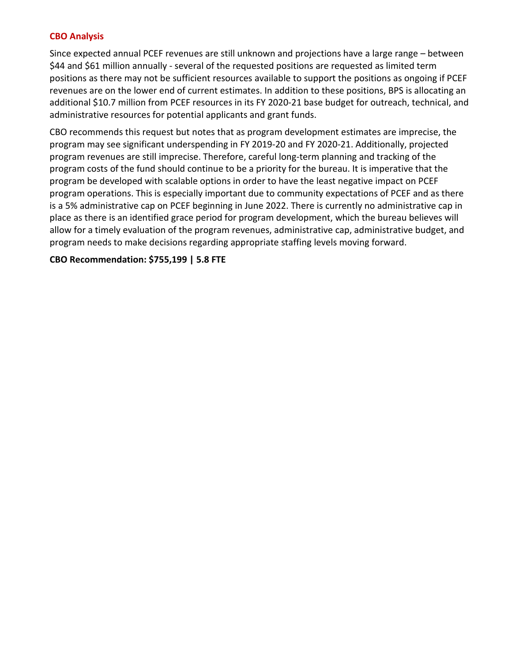#### **CBO Analysis**

Since expected annual PCEF revenues are still unknown and projections have a large range – between \$44 and \$61 million annually - several of the requested positions are requested as limited term positions as there may not be sufficient resources available to support the positions as ongoing if PCEF revenues are on the lower end of current estimates. In addition to these positions, BPS is allocating an additional \$10.7 million from PCEF resources in its FY 2020-21 base budget for outreach, technical, and administrative resources for potential applicants and grant funds.

CBO recommends this request but notes that as program development estimates are imprecise, the program may see significant underspending in FY 2019-20 and FY 2020-21. Additionally, projected program revenues are still imprecise. Therefore, careful long-term planning and tracking of the program costs of the fund should continue to be a priority for the bureau. It is imperative that the program be developed with scalable options in order to have the least negative impact on PCEF program operations. This is especially important due to community expectations of PCEF and as there is a 5% administrative cap on PCEF beginning in June 2022. There is currently no administrative cap in place as there is an identified grace period for program development, which the bureau believes will allow for a timely evaluation of the program revenues, administrative cap, administrative budget, and program needs to make decisions regarding appropriate staffing levels moving forward.

#### **CBO Recommendation: \$755,199 | 5.8 FTE**